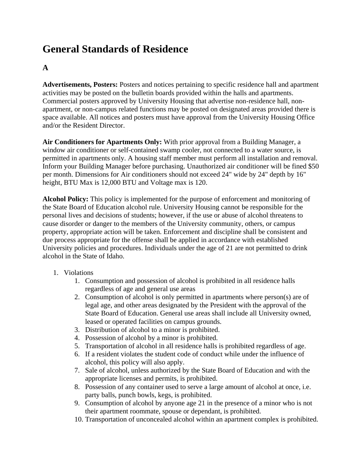# **General Standards of Residence**

# **A**

**Advertisements, Posters:** Posters and notices pertaining to specific residence hall and apartment activities may be posted on the bulletin boards provided within the halls and apartments. Commercial posters approved by University Housing that advertise non-residence hall, nonapartment, or non-campus related functions may be posted on designated areas provided there is space available. All notices and posters must have approval from the University Housing Office and/or the Resident Director.

**Air Conditioners for Apartments Only:** With prior approval from a Building Manager, a window air conditioner or self-contained swamp cooler, not connected to a water source, is permitted in apartments only. A housing staff member must perform all installation and removal. Inform your Building Manager before purchasing. Unauthorized air conditioner will be fined \$50 per month. Dimensions for Air conditioners should not exceed 24" wide by 24" depth by 16" height, BTU Max is 12,000 BTU and Voltage max is 120.

**Alcohol Policy:** This policy is implemented for the purpose of enforcement and monitoring of the State Board of Education alcohol rule. University Housing cannot be responsible for the personal lives and decisions of students; however, if the use or abuse of alcohol threatens to cause disorder or danger to the members of the University community, others, or campus property, appropriate action will be taken. Enforcement and discipline shall be consistent and due process appropriate for the offense shall be applied in accordance with established University policies and procedures. Individuals under the age of 21 are not permitted to drink alcohol in the State of Idaho.

- 1. Violations
	- 1. Consumption and possession of alcohol is prohibited in all residence halls regardless of age and general use areas
	- 2. Consumption of alcohol is only permitted in apartments where person(s) are of legal age, and other areas designated by the President with the approval of the State Board of Education. General use areas shall include all University owned, leased or operated facilities on campus grounds.
	- 3. Distribution of alcohol to a minor is prohibited.
	- 4. Possession of alcohol by a minor is prohibited.
	- 5. Transportation of alcohol in all residence halls is prohibited regardless of age.
	- 6. If a resident violates the student code of conduct while under the influence of alcohol, this policy will also apply.
	- 7. Sale of alcohol, unless authorized by the State Board of Education and with the appropriate licenses and permits, is prohibited.
	- 8. Possession of any container used to serve a large amount of alcohol at once, i.e. party balls, punch bowls, kegs, is prohibited.
	- 9. Consumption of alcohol by anyone age 21 in the presence of a minor who is not their apartment roommate, spouse or dependant, is prohibited.
	- 10. Transportation of unconcealed alcohol within an apartment complex is prohibited.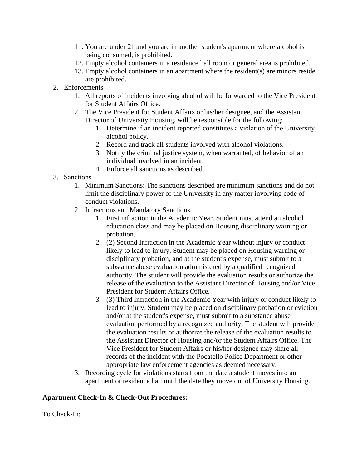- 11. You are under 21 and you are in another student's apartment where alcohol is being consumed, is prohibited.
- 12. Empty alcohol containers in a residence hall room or general area is prohibited.
- 13. Empty alcohol containers in an apartment where the resident(s) are minors reside are prohibited.
- 2. Enforcements
	- 1. All reports of incidents involving alcohol will be forwarded to the Vice President for Student Affairs Office.
	- 2. The Vice President for Student Affairs or his/her designee, and the Assistant Director of University Housing, will be responsible for the following:
		- 1. Determine if an incident reported constitutes a violation of the University alcohol policy.
		- 2. Record and track all students involved with alcohol violations.
		- 3. Notify the criminal justice system, when warranted, of behavior of an individual involved in an incident.
		- 4. Enforce all sanctions as described.
- 3. Sanctions
	- 1. Minimum Sanctions: The sanctions described are minimum sanctions and do not limit the disciplinary power of the University in any matter involving code of conduct violations.
	- 2. Infractions and Mandatory Sanctions
		- 1. First infraction in the Academic Year. Student must attend an alcohol education class and may be placed on Housing disciplinary warning or probation.
		- 2. (2) Second Infraction in the Academic Year without injury or conduct likely to lead to injury. Student may be placed on Housing warning or disciplinary probation, and at the student's expense, must submit to a substance abuse evaluation administered by a qualified recognized authority. The student will provide the evaluation results or authorize the release of the evaluation to the Assistant Director of Housing and/or Vice President for Student Affairs Office.
		- 3. (3) Third Infraction in the Academic Year with injury or conduct likely to lead to injury. Student may be placed on disciplinary probation or eviction and/or at the student's expense, must submit to a substance abuse evaluation performed by a recognized authority. The student will provide the evaluation results or authorize the release of the evaluation results to the Assistant Director of Housing and/or the Student Affairs Office. The Vice President for Student Affairs or his/her designee may share all records of the incident with the Pocatello Police Department or other appropriate law enforcement agencies as deemed necessary.
	- 3. Recording cycle for violations starts from the date a student moves into an apartment or residence hall until the date they move out of University Housing.

#### **Apartment Check-In & Check-Out Procedures:**

To Check-In: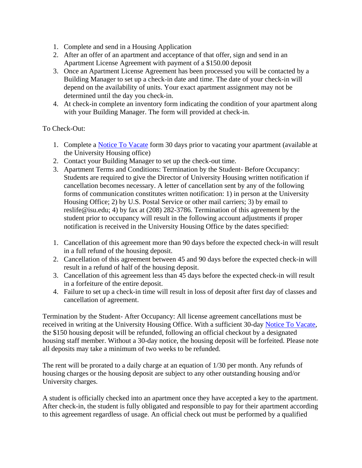- 1. Complete and send in a Housing Application
- 2. After an offer of an apartment and acceptance of that offer, sign and send in an Apartment License Agreement with payment of a \$150.00 deposit
- 3. Once an Apartment License Agreement has been processed you will be contacted by a Building Manager to set up a check-in date and time. The date of your check-in will depend on the availability of units. Your exact apartment assignment may not be determined until the day you check-in.
- 4. At check-in complete an inventory form indicating the condition of your apartment along with your Building Manager. The form will provided at check-in.

#### To Check-Out:

- 1. Complete a [Notice To Vacate](http://www2.isu.edu/departments/housing/forms.shtml) form 30 days prior to vacating your apartment (available at the University Housing office)
- 2. Contact your Building Manager to set up the check-out time.
- 3. Apartment Terms and Conditions: Termination by the Student- Before Occupancy: Students are required to give the Director of University Housing written notification if cancellation becomes necessary. A letter of cancellation sent by any of the following forms of communication constitutes written notification: 1) in person at the University Housing Office; 2) by U.S. Postal Service or other mail carriers; 3) by email to reslife@isu.edu; 4) by fax at (208) 282-3786. Termination of this agreement by the student prior to occupancy will result in the following account adjustments if proper notification is received in the University Housing Office by the dates specified:
- 1. Cancellation of this agreement more than 90 days before the expected check-in will result in a full refund of the housing deposit.
- 2. Cancellation of this agreement between 45 and 90 days before the expected check-in will result in a refund of half of the housing deposit.
- 3. Cancellation of this agreement less than 45 days before the expected check-in will result in a forfeiture of the entire deposit.
- 4. Failure to set up a check-in time will result in loss of deposit after first day of classes and cancellation of agreement.

Termination by the Student- After Occupancy: All license agreement cancellations must be received in writing at the University Housing Office. With a sufficient 30-day [Notice To Vacate,](http://www2.isu.edu/departments/housing/forms.shtml) the \$150 housing deposit will be refunded, following an official checkout by a designated housing staff member. Without a 30-day notice, the housing deposit will be forfeited. Please note all deposits may take a minimum of two weeks to be refunded.

The rent will be prorated to a daily charge at an equation of 1/30 per month. Any refunds of housing charges or the housing deposit are subject to any other outstanding housing and/or University charges.

A student is officially checked into an apartment once they have accepted a key to the apartment. After check-in, the student is fully obligated and responsible to pay for their apartment according to this agreement regardless of usage. An official check out must be performed by a qualified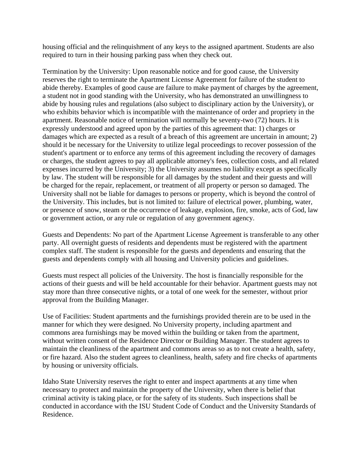housing official and the relinquishment of any keys to the assigned apartment. Students are also required to turn in their housing parking pass when they check out.

Termination by the University: Upon reasonable notice and for good cause, the University reserves the right to terminate the Apartment License Agreement for failure of the student to abide thereby. Examples of good cause are failure to make payment of charges by the agreement, a student not in good standing with the University, who has demonstrated an unwillingness to abide by housing rules and regulations (also subject to disciplinary action by the University), or who exhibits behavior which is incompatible with the maintenance of order and propriety in the apartment. Reasonable notice of termination will normally be seventy-two (72) hours. It is expressly understood and agreed upon by the parties of this agreement that: 1) charges or damages which are expected as a result of a breach of this agreement are uncertain in amount; 2) should it be necessary for the University to utilize legal proceedings to recover possession of the student's apartment or to enforce any terms of this agreement including the recovery of damages or charges, the student agrees to pay all applicable attorney's fees, collection costs, and all related expenses incurred by the University; 3) the University assumes no liability except as specifically by law. The student will be responsible for all damages by the student and their guests and will be charged for the repair, replacement, or treatment of all property or person so damaged. The University shall not be liable for damages to persons or property, which is beyond the control of the University. This includes, but is not limited to: failure of electrical power, plumbing, water, or presence of snow, steam or the occurrence of leakage, explosion, fire, smoke, acts of God, law or government action, or any rule or regulation of any government agency.

Guests and Dependents: No part of the Apartment License Agreement is transferable to any other party. All overnight guests of residents and dependents must be registered with the apartment complex staff. The student is responsible for the guests and dependents and ensuring that the guests and dependents comply with all housing and University policies and guidelines.

Guests must respect all policies of the University. The host is financially responsible for the actions of their guests and will be held accountable for their behavior. Apartment guests may not stay more than three consecutive nights, or a total of one week for the semester, without prior approval from the Building Manager.

Use of Facilities: Student apartments and the furnishings provided therein are to be used in the manner for which they were designed. No University property, including apartment and commons area furnishings may be moved within the building or taken from the apartment, without written consent of the Residence Director or Building Manager. The student agrees to maintain the cleanliness of the apartment and commons areas so as to not create a health, safety, or fire hazard. Also the student agrees to cleanliness, health, safety and fire checks of apartments by housing or university officials.

Idaho State University reserves the right to enter and inspect apartments at any time when necessary to protect and maintain the property of the University, when there is belief that criminal activity is taking place, or for the safety of its students. Such inspections shall be conducted in accordance with the ISU Student Code of Conduct and the University Standards of Residence.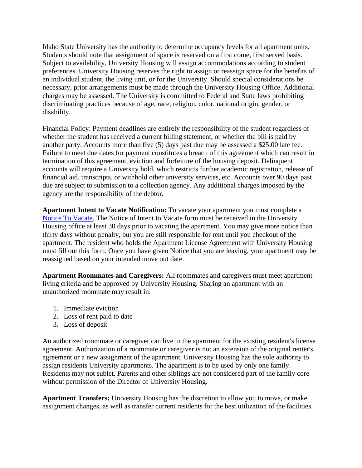Idaho State University has the authority to determine occupancy levels for all apartment units. Students should note that assignment of space is reserved on a first come, first served basis. Subject to availability, University Housing will assign accommodations according to student preferences. University Housing reserves the right to assign or reassign space for the benefits of an individual student, the living unit, or for the University. Should special considerations be necessary, prior arrangements must be made through the University Housing Office. Additional charges may be assessed. The University is committed to Federal and State laws prohibiting discriminating practices because of age, race, religion, color, national origin, gender, or disability.

Financial Policy: Payment deadlines are entirely the responsibility of the student regardless of whether the student has received a current billing statement, or whether the bill is paid by another party. Accounts more than five (5) days past due may be assessed a \$25.00 late fee. Failure to meet due dates for payment constitutes a breach of this agreement which can result in termination of this agreement, eviction and forfeiture of the housing deposit. Delinquent accounts will require a University hold, which restricts further academic registration, release of financial aid, transcripts, or withhold other university services, etc. Accounts over 90 days past due are subject to submission to a collection agency. Any additional charges imposed by the agency are the responsibility of the debtor.

**Apartment Intent to Vacate Notification:** To vacate your apartment you must complete a [Notice To Vacate.](http://www2.isu.edu/departments/housing/forms.shtml) The Notice of Intent to Vacate form must be received in the University Housing office at least 30 days prior to vacating the apartment. You may give more notice than thirty days without penalty, but you are still responsible for rent until you checkout of the apartment. The resident who holds the Apartment License Agreement with University Housing must fill out this form. Once you have given Notice that you are leaving, your apartment may be reassigned based on your intended move out date.

**Apartment Roommates and Caregivers:** All roommates and caregivers must meet apartment living criteria and be approved by University Housing. Sharing an apartment with an unauthorized roommate may result in:

- 1. Immediate eviction
- 2. Loss of rent paid to date
- 3. Loss of deposit

An authorized roommate or caregiver can live in the apartment for the existing resident's license agreement. Authorization of a roommate or caregiver is not an extension of the original renter's agreement or a new assignment of the apartment. University Housing has the sole authority to assign residents University apartments. The apartment is to be used by only one family. Residents may not sublet. Parents and other siblings are not considered part of the family core without permission of the Director of University Housing.

**Apartment Transfers:** University Housing has the discretion to allow you to move, or make assignment changes, as well as transfer current residents for the best utilization of the facilities.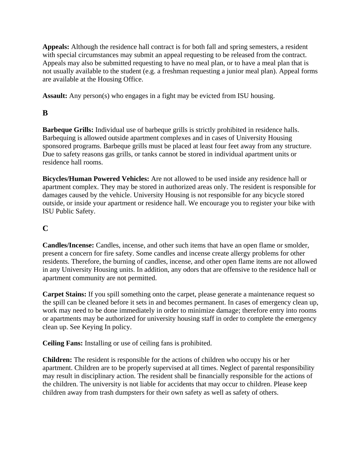**Appeals:** Although the residence hall contract is for both fall and spring semesters, a resident with special circumstances may submit an appeal requesting to be released from the contract. Appeals may also be submitted requesting to have no meal plan, or to have a meal plan that is not usually available to the student (e.g. a freshman requesting a junior meal plan). Appeal forms are available at the Housing Office.

**Assault:** Any person(s) who engages in a fight may be evicted from ISU housing.

# **B**

**Barbeque Grills:** Individual use of barbeque grills is strictly prohibited in residence halls. Barbequing is allowed outside apartment complexes and in cases of University Housing sponsored programs. Barbeque grills must be placed at least four feet away from any structure. Due to safety reasons gas grills, or tanks cannot be stored in individual apartment units or residence hall rooms.

**Bicycles/Human Powered Vehicles:** Are not allowed to be used inside any residence hall or apartment complex. They may be stored in authorized areas only. The resident is responsible for damages caused by the vehicle. University Housing is not responsible for any bicycle stored outside, or inside your apartment or residence hall. We encourage you to register your bike with ISU Public Safety.

# **C**

**Candles/Incense:** Candles, incense, and other such items that have an open flame or smolder, present a concern for fire safety. Some candles and incense create allergy problems for other residents. Therefore, the burning of candles, incense, and other open flame items are not allowed in any University Housing units. In addition, any odors that are offensive to the residence hall or apartment community are not permitted.

**Carpet Stains:** If you spill something onto the carpet, please generate a maintenance request so the spill can be cleaned before it sets in and becomes permanent. In cases of emergency clean up, work may need to be done immediately in order to minimize damage; therefore entry into rooms or apartments may be authorized for university housing staff in order to complete the emergency clean up. See Keying In policy.

**Ceiling Fans:** Installing or use of ceiling fans is prohibited.

**Children:** The resident is responsible for the actions of children who occupy his or her apartment. Children are to be properly supervised at all times. Neglect of parental responsibility may result in disciplinary action. The resident shall be financially responsible for the actions of the children. The university is not liable for accidents that may occur to children. Please keep children away from trash dumpsters for their own safety as well as safety of others.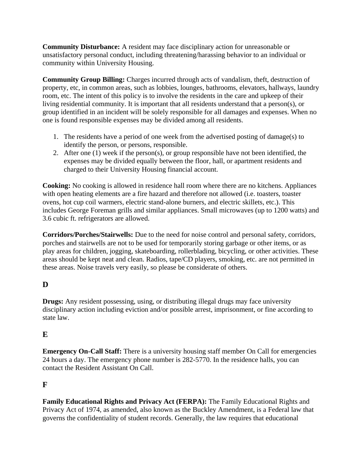**Community Disturbance:** A resident may face disciplinary action for unreasonable or unsatisfactory personal conduct, including threatening/harassing behavior to an individual or community within University Housing.

**Community Group Billing:** Charges incurred through acts of vandalism, theft, destruction of property, etc, in common areas, such as lobbies, lounges, bathrooms, elevators, hallways, laundry room, etc. The intent of this policy is to involve the residents in the care and upkeep of their living residential community. It is important that all residents understand that a person(s), or group identified in an incident will be solely responsible for all damages and expenses. When no one is found responsible expenses may be divided among all residents.

- 1. The residents have a period of one week from the advertised posting of damage(s) to identify the person, or persons, responsible.
- 2. After one (1) week if the person(s), or group responsible have not been identified, the expenses may be divided equally between the floor, hall, or apartment residents and charged to their University Housing financial account.

**Cooking:** No cooking is allowed in residence hall room where there are no kitchens. Appliances with open heating elements are a fire hazard and therefore not allowed (i.e. toasters, toaster ovens, hot cup coil warmers, electric stand-alone burners, and electric skillets, etc.). This includes George Foreman grills and similar appliances. Small microwaves (up to 1200 watts) and 3.6 cubic ft. refrigerators are allowed.

**Corridors/Porches/Stairwells:** Due to the need for noise control and personal safety, corridors, porches and stairwells are not to be used for temporarily storing garbage or other items, or as play areas for children, jogging, skateboarding, rollerblading, bicycling, or other activities. These areas should be kept neat and clean. Radios, tape/CD players, smoking, etc. are not permitted in these areas. Noise travels very easily, so please be considerate of others.

# **D**

**Drugs:** Any resident possessing, using, or distributing illegal drugs may face university disciplinary action including eviction and/or possible arrest, imprisonment, or fine according to state law.

# **E**

**Emergency On-Call Staff:** There is a university housing staff member On Call for emergencies 24 hours a day. The emergency phone number is 282-5770. In the residence halls, you can contact the Resident Assistant On Call.

# **F**

**Family Educational Rights and Privacy Act (FERPA):** The Family Educational Rights and Privacy Act of 1974, as amended, also known as the Buckley Amendment, is a Federal law that governs the confidentiality of student records. Generally, the law requires that educational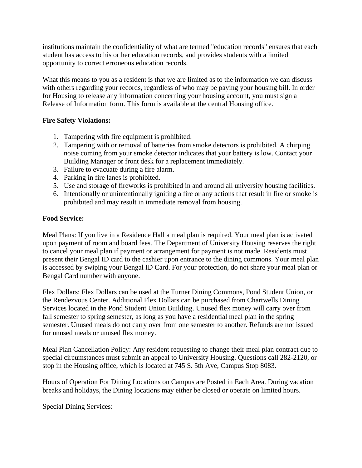institutions maintain the confidentiality of what are termed "education records" ensures that each student has access to his or her education records, and provides students with a limited opportunity to correct erroneous education records.

What this means to you as a resident is that we are limited as to the information we can discuss with others regarding your records, regardless of who may be paying your housing bill. In order for Housing to release any information concerning your housing account, you must sign a Release of Information form. This form is available at the central Housing office.

#### **Fire Safety Violations:**

- 1. Tampering with fire equipment is prohibited.
- 2. Tampering with or removal of batteries from smoke detectors is prohibited. A chirping noise coming from your smoke detector indicates that your battery is low. Contact your Building Manager or front desk for a replacement immediately.
- 3. Failure to evacuate during a fire alarm.
- 4. Parking in fire lanes is prohibited.
- 5. Use and storage of fireworks is prohibited in and around all university housing facilities.
- 6. Intentionally or unintentionally igniting a fire or any actions that result in fire or smoke is prohibited and may result in immediate removal from housing.

#### **Food Service:**

Meal Plans: If you live in a Residence Hall a meal plan is required. Your meal plan is activated upon payment of room and board fees. The Department of University Housing reserves the right to cancel your meal plan if payment or arrangement for payment is not made. Residents must present their Bengal ID card to the cashier upon entrance to the dining commons. Your meal plan is accessed by swiping your Bengal ID Card. For your protection, do not share your meal plan or Bengal Card number with anyone.

Flex Dollars: Flex Dollars can be used at the Turner Dining Commons, Pond Student Union, or the Rendezvous Center. Additional Flex Dollars can be purchased from Chartwells Dining Services located in the Pond Student Union Building. Unused flex money will carry over from fall semester to spring semester, as long as you have a residential meal plan in the spring semester. Unused meals do not carry over from one semester to another. Refunds are not issued for unused meals or unused flex money.

Meal Plan Cancellation Policy: Any resident requesting to change their meal plan contract due to special circumstances must submit an appeal to University Housing. Questions call 282-2120, or stop in the Housing office, which is located at 745 S. 5th Ave, Campus Stop 8083.

Hours of Operation For Dining Locations on Campus are Posted in Each Area. During vacation breaks and holidays, the Dining locations may either be closed or operate on limited hours.

Special Dining Services: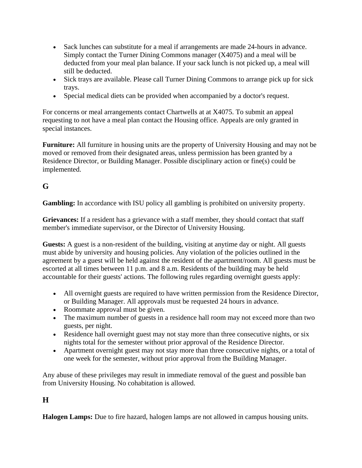- Sack lunches can substitute for a meal if arrangements are made 24-hours in advance. Simply contact the Turner Dining Commons manager (X4075) and a meal will be deducted from your meal plan balance. If your sack lunch is not picked up, a meal will still be deducted.
- Sick trays are available. Please call Turner Dining Commons to arrange pick up for sick trays.
- Special medical diets can be provided when accompanied by a doctor's request.

For concerns or meal arrangements contact Chartwells at at X4075. To submit an appeal requesting to not have a meal plan contact the Housing office. Appeals are only granted in special instances.

**Furniture:** All furniture in housing units are the property of University Housing and may not be moved or removed from their designated areas, unless permission has been granted by a Residence Director, or Building Manager. Possible disciplinary action or fine(s) could be implemented.

# **G**

**Gambling:** In accordance with ISU policy all gambling is prohibited on university property.

**Grievances:** If a resident has a grievance with a staff member, they should contact that staff member's immediate supervisor, or the Director of University Housing.

**Guests:** A guest is a non-resident of the building, visiting at anytime day or night. All guests must abide by university and housing policies. Any violation of the policies outlined in the agreement by a guest will be held against the resident of the apartment/room. All guests must be escorted at all times between 11 p.m. and 8 a.m. Residents of the building may be held accountable for their guests' actions. The following rules regarding overnight guests apply:

- All overnight guests are required to have written permission from the Residence Director, or Building Manager. All approvals must be requested 24 hours in advance.
- Roommate approval must be given.
- The maximum number of guests in a residence hall room may not exceed more than two guests, per night.
- Residence hall overnight guest may not stay more than three consecutive nights, or six nights total for the semester without prior approval of the Residence Director.
- Apartment overnight guest may not stay more than three consecutive nights, or a total of one week for the semester, without prior approval from the Building Manager.

Any abuse of these privileges may result in immediate removal of the guest and possible ban from University Housing. No cohabitation is allowed.

# **H**

**Halogen Lamps:** Due to fire hazard, halogen lamps are not allowed in campus housing units.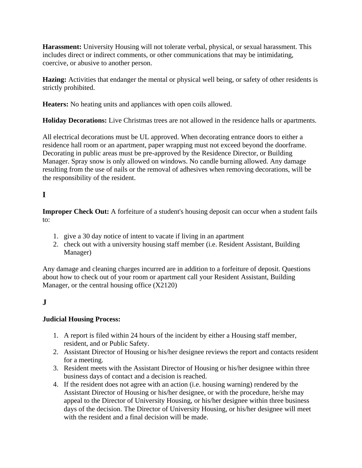**Harassment:** University Housing will not tolerate verbal, physical, or sexual harassment. This includes direct or indirect comments, or other communications that may be intimidating, coercive, or abusive to another person.

**Hazing:** Activities that endanger the mental or physical well being, or safety of other residents is strictly prohibited.

**Heaters:** No heating units and appliances with open coils allowed.

**Holiday Decorations:** Live Christmas trees are not allowed in the residence halls or apartments.

All electrical decorations must be UL approved. When decorating entrance doors to either a residence hall room or an apartment, paper wrapping must not exceed beyond the doorframe. Decorating in public areas must be pre-approved by the Residence Director, or Building Manager. Spray snow is only allowed on windows. No candle burning allowed. Any damage resulting from the use of nails or the removal of adhesives when removing decorations, will be the responsibility of the resident.

# **I**

**Improper Check Out:** A forfeiture of a student's housing deposit can occur when a student fails to:

- 1. give a 30 day notice of intent to vacate if living in an apartment
- 2. check out with a university housing staff member (i.e. Resident Assistant, Building Manager)

Any damage and cleaning charges incurred are in addition to a forfeiture of deposit. Questions about how to check out of your room or apartment call your Resident Assistant, Building Manager, or the central housing office (X2120)

### **J**

#### **Judicial Housing Process:**

- 1. A report is filed within 24 hours of the incident by either a Housing staff member, resident, and or Public Safety.
- 2. Assistant Director of Housing or his/her designee reviews the report and contacts resident for a meeting.
- 3. Resident meets with the Assistant Director of Housing or his/her designee within three business days of contact and a decision is reached.
- 4. If the resident does not agree with an action (i.e. housing warning) rendered by the Assistant Director of Housing or his/her designee, or with the procedure, he/she may appeal to the Director of University Housing, or his/her designee within three business days of the decision. The Director of University Housing, or his/her designee will meet with the resident and a final decision will be made.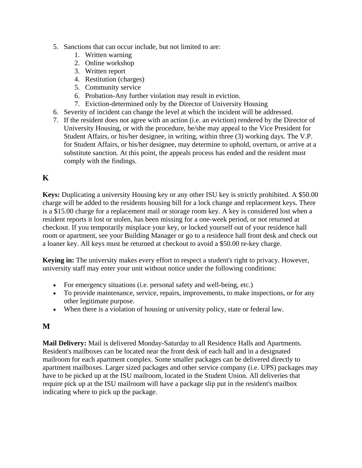- 5. Sanctions that can occur include, but not limited to are:
	- 1. Written warning
	- 2. Online workshop
	- 3. Written report
	- 4. Restitution (charges)
	- 5. Community service
	- 6. Probation-Any further violation may result in eviction.
	- 7. Eviction-determined only by the Director of University Housing
- 6. Severity of incident can change the level at which the incident will be addressed.
- 7. If the resident does not agree with an action (i.e. an eviction) rendered by the Director of University Housing, or with the procedure, he/she may appeal to the Vice President for Student Affairs, or his/her designee, in writing, within three (3) working days. The V.P. for Student Affairs, or his/her designee, may determine to uphold, overturn, or arrive at a substitute sanction. At this point, the appeals process has ended and the resident must comply with the findings.

# **K**

**Keys:** Duplicating a university Housing key or any other ISU key is strictly prohibited. A \$50.00 charge will be added to the residents housing bill for a lock change and replacement keys. There is a \$15.00 charge for a replacement mail or storage room key. A key is considered lost when a resident reports it lost or stolen, has been missing for a one-week period, or not returned at checkout. If you temporarily misplace your key, or locked yourself out of your residence hall room or apartment, see your Building Manager or go to a residence hall front desk and check out a loaner key. All keys must be returned at checkout to avoid a \$50.00 re-key charge.

**Keying in:** The university makes every effort to respect a student's right to privacy. However, university staff may enter your unit without notice under the following conditions:

- For emergency situations (i.e. personal safety and well-being, etc.)
- To provide maintenance, service, repairs, improvements, to make inspections, or for any other legitimate purpose.
- When there is a violation of housing or university policy, state or federal law.

### **M**

**Mail Delivery:** Mail is delivered Monday-Saturday to all Residence Halls and Apartments. Resident's mailboxes can be located near the front desk of each hall and in a designated mailroom for each apartment complex. Some smaller packages can be delivered directly to apartment mailboxes. Larger sized packages and other service company (i.e. UPS) packages may have to be picked up at the ISU mailroom, located in the Student Union. All deliveries that require pick up at the ISU mailroom will have a package slip put in the resident's mailbox indicating where to pick up the package.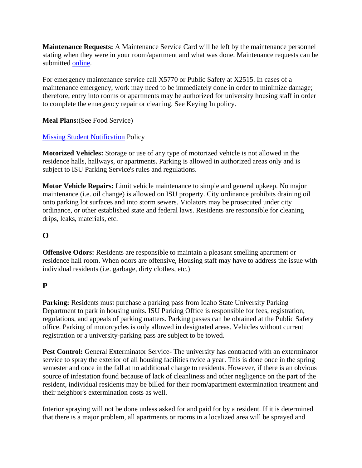**Maintenance Requests:** A Maintenance Service Card will be left by the maintenance personnel stating when they were in your room/apartment and what was done. Maintenance requests can be submitted [online.](http://www.isu.edu/housing/forms.shtml)

For emergency maintenance service call X5770 or Public Safety at X2515. In cases of a maintenance emergency, work may need to be immediately done in order to minimize damage; therefore, entry into rooms or apartments may be authorized for university housing staff in order to complete the emergency repair or cleaning. See Keying In policy.

**Meal Plans:**(See Food Service)

#### [Missing Student Notification](http://www.isu.edu/pubsafe/policies/Missing%20Student%20Notification%20Policy.pdf) Policy

**Motorized Vehicles:** Storage or use of any type of motorized vehicle is not allowed in the residence halls, hallways, or apartments. Parking is allowed in authorized areas only and is subject to ISU Parking Service's rules and regulations.

**Motor Vehicle Repairs:** Limit vehicle maintenance to simple and general upkeep. No major maintenance (i.e. oil change) is allowed on ISU property. City ordinance prohibits draining oil onto parking lot surfaces and into storm sewers. Violators may be prosecuted under city ordinance, or other established state and federal laws. Residents are responsible for cleaning drips, leaks, materials, etc.

### **O**

**Offensive Odors:** Residents are responsible to maintain a pleasant smelling apartment or residence hall room. When odors are offensive, Housing staff may have to address the issue with individual residents (i.e. garbage, dirty clothes, etc.)

#### **P**

**Parking:** Residents must purchase a parking pass from Idaho State University Parking Department to park in housing units. ISU Parking Office is responsible for fees, registration, regulations, and appeals of parking matters. Parking passes can be obtained at the Public Safety office. Parking of motorcycles is only allowed in designated areas. Vehicles without current registration or a university-parking pass are subject to be towed.

**Pest Control:** General Exterminator Service- The university has contracted with an exterminator service to spray the exterior of all housing facilities twice a year. This is done once in the spring semester and once in the fall at no additional charge to residents. However, if there is an obvious source of infestation found because of lack of cleanliness and other negligence on the part of the resident, individual residents may be billed for their room/apartment extermination treatment and their neighbor's extermination costs as well.

Interior spraying will not be done unless asked for and paid for by a resident. If it is determined that there is a major problem, all apartments or rooms in a localized area will be sprayed and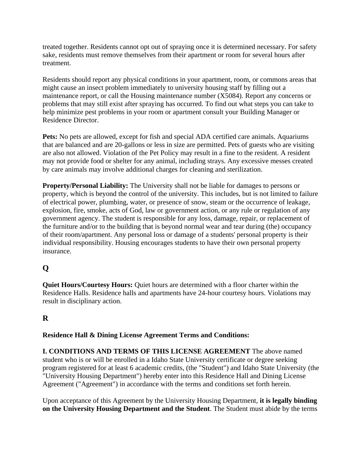treated together. Residents cannot opt out of spraying once it is determined necessary. For safety sake, residents must remove themselves from their apartment or room for several hours after treatment.

Residents should report any physical conditions in your apartment, room, or commons areas that might cause an insect problem immediately to university housing staff by filling out a maintenance report, or call the Housing maintenance number  $(X5084)$ . Report any concerns or problems that may still exist after spraying has occurred. To find out what steps you can take to help minimize pest problems in your room or apartment consult your Building Manager or Residence Director.

**Pets:** No pets are allowed, except for fish and special ADA certified care animals. Aquariums that are balanced and are 20-gallons or less in size are permitted. Pets of guests who are visiting are also not allowed. Violation of the Pet Policy may result in a fine to the resident. A resident may not provide food or shelter for any animal, including strays. Any excessive messes created by care animals may involve additional charges for cleaning and sterilization.

**Property/Personal Liability:** The University shall not be liable for damages to persons or property, which is beyond the control of the university. This includes, but is not limited to failure of electrical power, plumbing, water, or presence of snow, steam or the occurrence of leakage, explosion, fire, smoke, acts of God, law or government action, or any rule or regulation of any government agency. The student is responsible for any loss, damage, repair, or replacement of the furniture and/or to the building that is beyond normal wear and tear during (the) occupancy of their room/apartment. Any personal loss or damage of a students' personal property is their individual responsibility. Housing encourages students to have their own personal property insurance.

# **Q**

**Quiet Hours/Courtesy Hours:** Quiet hours are determined with a floor charter within the Residence Halls. Residence halls and apartments have 24-hour courtesy hours. Violations may result in disciplinary action.

### **R**

#### **Residence Hall & Dining License Agreement Terms and Conditions:**

**I. CONDITIONS AND TERMS OF THIS LICENSE AGREEMENT** The above named student who is or will be enrolled in a Idaho State University certificate or degree seeking program registered for at least 6 academic credits, (the "Student") and Idaho State University (the "University Housing Department") hereby enter into this Residence Hall and Dining License Agreement ("Agreement") in accordance with the terms and conditions set forth herein.

Upon acceptance of this Agreement by the University Housing Department, **it is legally binding on the University Housing Department and the Student**. The Student must abide by the terms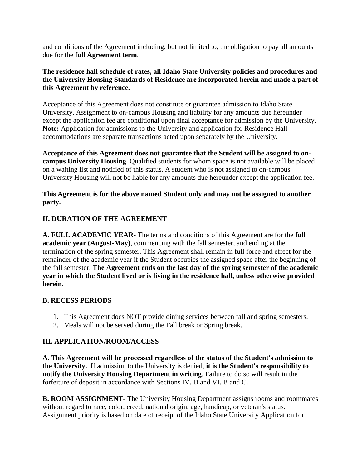and conditions of the Agreement including, but not limited to, the obligation to pay all amounts due for the **full Agreement term**.

#### **The residence hall schedule of rates, all Idaho State University policies and procedures and the University Housing Standards of Residence are incorporated herein and made a part of this Agreement by reference.**

Acceptance of this Agreement does not constitute or guarantee admission to Idaho State University. Assignment to on-campus Housing and liability for any amounts due hereunder except the application fee are conditional upon final acceptance for admission by the University. **Note:** Application for admissions to the University and application for Residence Hall accommodations are separate transactions acted upon separately by the University.

**Acceptance of this Agreement does not guarantee that the Student will be assigned to oncampus University Housing**. Qualified students for whom space is not available will be placed on a waiting list and notified of this status. A student who is not assigned to on-campus University Housing will not be liable for any amounts due hereunder except the application fee.

#### **This Agreement is for the above named Student only and may not be assigned to another party.**

#### **II. DURATION OF THE AGREEMENT**

**A. FULL ACADEMIC YEAR-** The terms and conditions of this Agreement are for the **full academic year (August-May)**, commencing with the fall semester, and ending at the termination of the spring semester. This Agreement shall remain in full force and effect for the remainder of the academic year if the Student occupies the assigned space after the beginning of the fall semester. **The Agreement ends on the last day of the spring semester of the academic year in which the Student lived or is living in the residence hall, unless otherwise provided herein.**

#### **B. RECESS PERIODS**

- 1. This Agreement does NOT provide dining services between fall and spring semesters.
- 2. Meals will not be served during the Fall break or Spring break.

#### **III. APPLICATION/ROOM/ACCESS**

**A. This Agreement will be processed regardless of the status of the Student's admission to the University.**. If admission to the University is denied, **it is the Student's responsibility to notify the University Housing Department in writing**. Failure to do so will result in the forfeiture of deposit in accordance with Sections IV. D and VI. B and C.

**B. ROOM ASSIGNMENT-** The University Housing Department assigns rooms and roommates without regard to race, color, creed, national origin, age, handicap, or veteran's status. Assignment priority is based on date of receipt of the Idaho State University Application for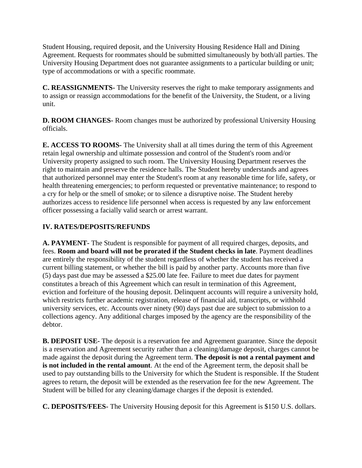Student Housing, required deposit, and the University Housing Residence Hall and Dining Agreement. Requests for roommates should be submitted simultaneously by both/all parties. The University Housing Department does not guarantee assignments to a particular building or unit; type of accommodations or with a specific roommate.

**C. REASSIGNMENTS-** The University reserves the right to make temporary assignments and to assign or reassign accommodations for the benefit of the University, the Student, or a living unit.

**D. ROOM CHANGES-** Room changes must be authorized by professional University Housing officials.

**E. ACCESS TO ROOMS-** The University shall at all times during the term of this Agreement retain legal ownership and ultimate possession and control of the Student's room and/or University property assigned to such room. The University Housing Department reserves the right to maintain and preserve the residence halls. The Student hereby understands and agrees that authorized personnel may enter the Student's room at any reasonable time for life, safety, or health threatening emergencies; to perform requested or preventative maintenance; to respond to a cry for help or the smell of smoke; or to silence a disruptive noise. The Student hereby authorizes access to residence life personnel when access is requested by any law enforcement officer possessing a facially valid search or arrest warrant.

#### **IV. RATES/DEPOSITS/REFUNDS**

**A. PAYMENT-** The Student is responsible for payment of all required charges, deposits, and fees. **Room and board will not be prorated if the Student checks in late**. Payment deadlines are entirely the responsibility of the student regardless of whether the student has received a current billing statement, or whether the bill is paid by another party. Accounts more than five (5) days past due may be assessed a \$25.00 late fee. Failure to meet due dates for payment constitutes a breach of this Agreement which can result in termination of this Agreement, eviction and forfeiture of the housing deposit. Delinquent accounts will require a university hold, which restricts further academic registration, release of financial aid, transcripts, or withhold university services, etc. Accounts over ninety (90) days past due are subject to submission to a collections agency. Any additional charges imposed by the agency are the responsibility of the debtor.

**B. DEPOSIT USE-** The deposit is a reservation fee and Agreement guarantee. Since the deposit is a reservation and Agreement security rather than a cleaning/damage deposit, charges cannot be made against the deposit during the Agreement term. **The deposit is not a rental payment and is not included in the rental amount**. At the end of the Agreement term, the deposit shall be used to pay outstanding bills to the University for which the Student is responsible. If the Student agrees to return, the deposit will be extended as the reservation fee for the new Agreement. The Student will be billed for any cleaning/damage charges if the deposit is extended.

**C. DEPOSITS/FEES-** The University Housing deposit for this Agreement is \$150 U.S. dollars.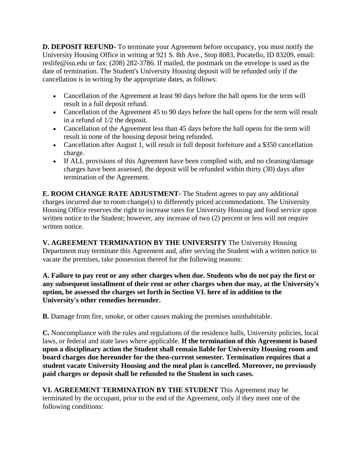**D. DEPOSIT REFUND-** To terminate your Agreement before occupancy, you must notify the University Housing Office in writing at 921 S. 8th Ave., Stop 8083, Pocatello, ID 83209, email: reslife@isu.edu or fax: (208) 282-3786. If mailed, the postmark on the envelope is used as the date of termination. The Student's University Housing deposit will be refunded only if the cancellation is in writing by the appropriate dates, as follows:

- Cancellation of the Agreement at least 90 days before the hall opens for the term will result in a full deposit refund.
- Cancellation of the Agreement 45 to 90 days before the hall opens for the term will result in a refund of 1/2 the deposit.
- Cancellation of the Agreement less than 45 days before the hall opens for the term will result in none of the housing deposit being refunded.
- Cancellation after August 1, will result in full deposit forfeiture and a \$350 cancellation charge.
- If ALL provisions of this Agreement have been complied with, and no cleaning/damage charges have been assessed, the deposit will be refunded within thirty (30) days after termination of the Agreement.

**E. ROOM CHANGE RATE ADJUSTMENT-** The Student agrees to pay any additional charges incurred due to room change(s) to differently priced accommodations. The University Housing Office reserves the right to increase rates for University Housing and food service upon written notice to the Student; however, any increase of two (2) percent or less will not require written notice.

**V. AGREEMENT TERMINATION BY THE UNIVERSITY** The University Housing Department may terminate this Agreement and, after serving the Student with a written notice to vacate the premises, take possession thereof for the following reasons:

**A. Failure to pay rent or any other charges when due. Students who do not pay the first or any subsequent installment of their rent or other charges when due may, at the University's option, be assessed the charges set forth in Section VI. here of in addition to the University's other remedies hereunder.**

**B.** Damage from fire, smoke, or other causes making the premises uninhabitable.

**C.** Noncompliance with the rules and regulations of the residence halls, University policies, local laws, or federal and state laws where applicable. **If the termination of this Agreement is based upon a disciplinary action the Student shall remain liable for University Housing room and board charges due hereunder for the then-current semester. Termination requires that a student vacate University Housing and the meal plan is cancelled. Moreover, no previously paid charges or deposit shall be refunded to the Student in such cases.**

**VI. AGREEMENT TERMINATION BY THE STUDENT** This Agreement may be terminated by the occupant, prior to the end of the Agreement, only if they meet one of the following conditions: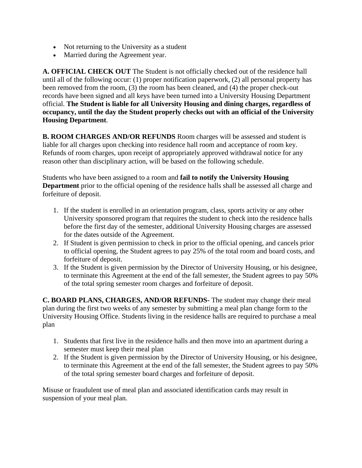- Not returning to the University as a student
- Married during the Agreement year.

**A. OFFICIAL CHECK OUT** The Student is not officially checked out of the residence hall until all of the following occur: (1) proper notification paperwork, (2) all personal property has been removed from the room, (3) the room has been cleaned, and (4) the proper check-out records have been signed and all keys have been turned into a University Housing Department official. **The Student is liable for all University Housing and dining charges, regardless of occupancy, until the day the Student properly checks out with an official of the University Housing Department**.

**B. ROOM CHARGES AND/OR REFUNDS** Room charges will be assessed and student is liable for all charges upon checking into residence hall room and acceptance of room key. Refunds of room charges, upon receipt of appropriately approved withdrawal notice for any reason other than disciplinary action, will be based on the following schedule.

Students who have been assigned to a room and **fail to notify the University Housing Department** prior to the official opening of the residence halls shall be assessed all charge and forfeiture of deposit.

- 1. If the student is enrolled in an orientation program, class, sports activity or any other University sponsored program that requires the student to check into the residence halls before the first day of the semester, additional University Housing charges are assessed for the dates outside of the Agreement.
- 2. If Student is given permission to check in prior to the official opening, and cancels prior to official opening, the Student agrees to pay 25% of the total room and board costs, and forfeiture of deposit.
- 3. If the Student is given permission by the Director of University Housing, or his designee, to terminate this Agreement at the end of the fall semester, the Student agrees to pay 50% of the total spring semester room charges and forfeiture of deposit.

**C. BOARD PLANS, CHARGES, AND/OR REFUNDS-** The student may change their meal plan during the first two weeks of any semester by submitting a meal plan change form to the University Housing Office. Students living in the residence halls are required to purchase a meal plan

- 1. Students that first live in the residence halls and then move into an apartment during a semester must keep their meal plan
- 2. If the Student is given permission by the Director of University Housing, or his designee, to terminate this Agreement at the end of the fall semester, the Student agrees to pay 50% of the total spring semester board charges and forfeiture of deposit.

Misuse or fraudulent use of meal plan and associated identification cards may result in suspension of your meal plan.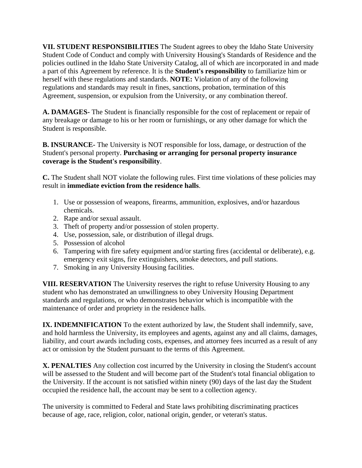**VII. STUDENT RESPONSIBILITIES** The Student agrees to obey the Idaho State University Student Code of Conduct and comply with University Housing's Standards of Residence and the policies outlined in the Idaho State University Catalog, all of which are incorporated in and made a part of this Agreement by reference. It is the **Student's responsibility** to familiarize him or herself with these regulations and standards. **NOTE:** Violation of any of the following regulations and standards may result in fines, sanctions, probation, termination of this Agreement, suspension, or expulsion from the University, or any combination thereof.

**A. DAMAGES-** The Student is financially responsible for the cost of replacement or repair of any breakage or damage to his or her room or furnishings, or any other damage for which the Student is responsible.

**B. INSURANCE-** The University is NOT responsible for loss, damage, or destruction of the Student's personal property. **Purchasing or arranging for personal property insurance coverage is the Student's responsibility**.

**C.** The Student shall NOT violate the following rules. First time violations of these policies may result in **immediate eviction from the residence halls**.

- 1. Use or possession of weapons, firearms, ammunition, explosives, and/or hazardous chemicals.
- 2. Rape and/or sexual assault.
- 3. Theft of property and/or possession of stolen property.
- 4. Use, possession, sale, or distribution of illegal drugs.
- 5. Possession of alcohol
- 6. Tampering with fire safety equipment and/or starting fires (accidental or deliberate), e.g. emergency exit signs, fire extinguishers, smoke detectors, and pull stations.
- 7. Smoking in any University Housing facilities.

**VIII. RESERVATION** The University reserves the right to refuse University Housing to any student who has demonstrated an unwillingness to obey University Housing Department standards and regulations, or who demonstrates behavior which is incompatible with the maintenance of order and propriety in the residence halls.

**IX. INDEMNIFICATION** To the extent authorized by law, the Student shall indemnify, save, and hold harmless the University, its employees and agents, against any and all claims, damages, liability, and court awards including costs, expenses, and attorney fees incurred as a result of any act or omission by the Student pursuant to the terms of this Agreement.

**X. PENALTIES** Any collection cost incurred by the University in closing the Student's account will be assessed to the Student and will become part of the Student's total financial obligation to the University. If the account is not satisfied within ninety (90) days of the last day the Student occupied the residence hall, the account may be sent to a collection agency.

The university is committed to Federal and State laws prohibiting discriminating practices because of age, race, religion, color, national origin, gender, or veteran's status.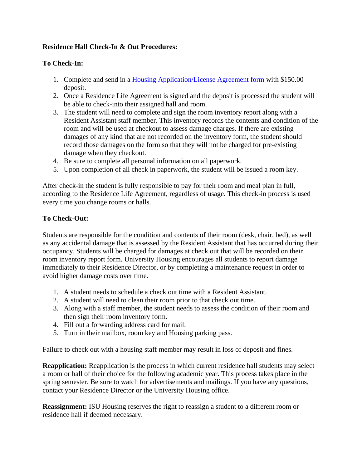#### **Residence Hall Check-In & Out Procedures:**

#### **To Check-In:**

- 1. Complete and send in a [Housing Application/License Agreement form](http://www.isu.edu/housing/application_housing.shtml) with \$150.00 deposit.
- 2. Once a Residence Life Agreement is signed and the deposit is processed the student will be able to check-into their assigned hall and room.
- 3. The student will need to complete and sign the room inventory report along with a Resident Assistant staff member. This inventory records the contents and condition of the room and will be used at checkout to assess damage charges. If there are existing damages of any kind that are not recorded on the inventory form, the student should record those damages on the form so that they will not be charged for pre-existing damage when they checkout.
- 4. Be sure to complete all personal information on all paperwork.
- 5. Upon completion of all check in paperwork, the student will be issued a room key.

After check-in the student is fully responsible to pay for their room and meal plan in full, according to the Residence Life Agreement, regardless of usage. This check-in process is used every time you change rooms or halls.

#### **To Check-Out:**

Students are responsible for the condition and contents of their room (desk, chair, bed), as well as any accidental damage that is assessed by the Resident Assistant that has occurred during their occupancy. Students will be charged for damages at check out that will be recorded on their room inventory report form. University Housing encourages all students to report damage immediately to their Residence Director, or by completing a maintenance request in order to avoid higher damage costs over time.

- 1. A student needs to schedule a check out time with a Resident Assistant.
- 2. A student will need to clean their room prior to that check out time.
- 3. Along with a staff member, the student needs to assess the condition of their room and then sign their room inventory form.
- 4. Fill out a forwarding address card for mail.
- 5. Turn in their mailbox, room key and Housing parking pass.

Failure to check out with a housing staff member may result in loss of deposit and fines.

**Reapplication:** Reapplication is the process in which current residence hall students may select a room or hall of their choice for the following academic year. This process takes place in the spring semester. Be sure to watch for advertisements and mailings. If you have any questions, contact your Residence Director or the University Housing office.

**Reassignment:** ISU Housing reserves the right to reassign a student to a different room or residence hall if deemed necessary.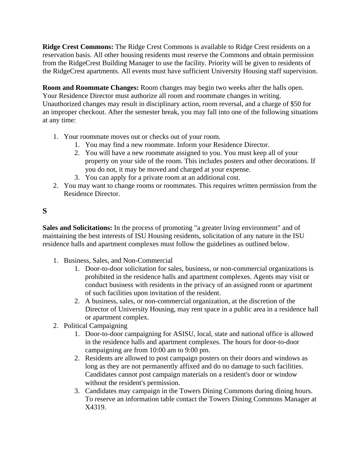**Ridge Crest Commons:** The Ridge Crest Commons is available to Ridge Crest residents on a reservation basis. All other housing residents must reserve the Commons and obtain permission from the RidgeCrest Building Manager to use the facility. Priority will be given to residents of the RidgeCrest apartments. All events must have sufficient University Housing staff supervision.

**Room and Roommate Changes:** Room changes may begin two weeks after the halls open. Your Residence Director must authorize all room and roommate changes in writing. Unauthorized changes may result in disciplinary action, room reversal, and a charge of \$50 for an improper checkout. After the semester break, you may fall into one of the following situations at any time:

- 1. Your roommate moves out or checks out of your room.
	- 1. You may find a new roommate. Inform your Residence Director.
	- 2. You will have a new roommate assigned to you. You must keep all of your property on your side of the room. This includes posters and other decorations. If you do not, it may be moved and charged at your expense.
	- 3. You can apply for a private room at an additional cost.
- 2. You may want to change rooms or roommates. This requires written permission from the Residence Director.

# **S**

**Sales and Solicitations:** In the process of promoting "a greater living environment" and of maintaining the best interests of ISU Housing residents, solicitation of any nature in the ISU residence halls and apartment complexes must follow the guidelines as outlined below.

- 1. Business, Sales, and Non-Commercial
	- 1. Door-to-door solicitation for sales, business, or non-commercial organizations is prohibited in the residence halls and apartment complexes. Agents may visit or conduct business with residents in the privacy of an assigned room or apartment of such facilities upon invitation of the resident.
	- 2. A business, sales, or non-commercial organization, at the discretion of the Director of University Housing, may rent space in a public area in a residence hall or apartment complex.
- 2. Political Campaigning
	- 1. Door-to-door campaigning for ASISU, local, state and national office is allowed in the residence halls and apartment complexes. The hours for door-to-door campaigning are from 10:00 am to 9:00 pm.
	- 2. Residents are allowed to post campaign posters on their doors and windows as long as they are not permanently affixed and do no damage to such facilities. Candidates cannot post campaign materials on a resident's door or window without the resident's permission.
	- 3. Candidates may campaign in the Towers Dining Commons during dining hours. To reserve an information table contact the Towers Dining Commons Manager at X4319.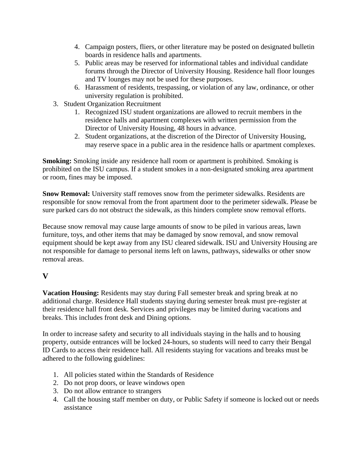- 4. Campaign posters, fliers, or other literature may be posted on designated bulletin boards in residence halls and apartments.
- 5. Public areas may be reserved for informational tables and individual candidate forums through the Director of University Housing. Residence hall floor lounges and TV lounges may not be used for these purposes.
- 6. Harassment of residents, trespassing, or violation of any law, ordinance, or other university regulation is prohibited.
- 3. Student Organization Recruitment
	- 1. Recognized ISU student organizations are allowed to recruit members in the residence halls and apartment complexes with written permission from the Director of University Housing, 48 hours in advance.
	- 2. Student organizations, at the discretion of the Director of University Housing, may reserve space in a public area in the residence halls or apartment complexes.

**Smoking:** Smoking inside any residence hall room or apartment is prohibited. Smoking is prohibited on the ISU campus. If a student smokes in a non-designated smoking area apartment or room, fines may be imposed.

**Snow Removal:** University staff removes snow from the perimeter sidewalks. Residents are responsible for snow removal from the front apartment door to the perimeter sidewalk. Please be sure parked cars do not obstruct the sidewalk, as this hinders complete snow removal efforts.

Because snow removal may cause large amounts of snow to be piled in various areas, lawn furniture, toys, and other items that may be damaged by snow removal, and snow removal equipment should be kept away from any ISU cleared sidewalk. ISU and University Housing are not responsible for damage to personal items left on lawns, pathways, sidewalks or other snow removal areas.

### **V**

**Vacation Housing:** Residents may stay during Fall semester break and spring break at no additional charge. Residence Hall students staying during semester break must pre-register at their residence hall front desk. Services and privileges may be limited during vacations and breaks. This includes front desk and Dining options.

In order to increase safety and security to all individuals staying in the halls and to housing property, outside entrances will be locked 24-hours, so students will need to carry their Bengal ID Cards to access their residence hall. All residents staying for vacations and breaks must be adhered to the following guidelines:

- 1. All policies stated within the Standards of Residence
- 2. Do not prop doors, or leave windows open
- 3. Do not allow entrance to strangers
- 4. Call the housing staff member on duty, or Public Safety if someone is locked out or needs assistance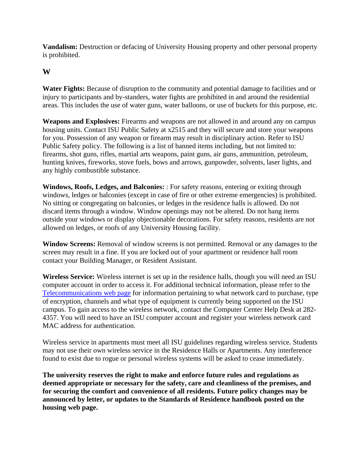**Vandalism:** Destruction or defacing of University Housing property and other personal property is prohibited.

#### **W**

Water Fights: Because of disruption to the community and potential damage to facilities and or injury to participants and by-standers, water fights are prohibited in and around the residential areas. This includes the use of water guns, water balloons, or use of buckets for this purpose, etc.

**Weapons and Explosives:** Firearms and weapons are not allowed in and around any on campus housing units. Contact ISU Public Safety at x2515 and they will secure and store your weapons for you. Possession of any weapon or firearm may result in disciplinary action. Refer to ISU Public Safety policy. The following is a list of banned items including, but not limited to: firearms, shot guns, rifles, martial arts weapons, paint guns, air guns, ammunition, petroleum, hunting knives, fireworks, stove fuels, bows and arrows, gunpowder, solvents, laser lights, and any highly combustible substance.

**Windows, Roofs, Ledges, and Balconies:** : For safety reasons, entering or exiting through windows, ledges or balconies (except in case of fire or other extreme emergencies) is prohibited. No sitting or congregating on balconies, or ledges in the residence halls is allowed. Do not discard items through a window. Window openings may not be altered. Do not hang items outside your windows or display objectionable decorations. For safety reasons, residents are not allowed on ledges, or roofs of any University Housing facility.

**Window Screens:** Removal of window screens is not permitted. Removal or any damages to the screen may result in a fine. If you are locked out of your apartment or residence hall room contact your Building Manager, or Resident Assistant.

**Wireless Service:** Wireless internet is set up in the residence halls, though you will need an ISU computer account in order to access it. For additional technical information, please refer to the [Telecommunications web page](http://www.isu.edu/netel/) for information pertaining to what network card to purchase, type of encryption, channels and what type of equipment is currently being supported on the ISU campus. To gain access to the wireless network, contact the Computer Center Help Desk at 282- 4357. You will need to have an ISU computer account and register your wireless network card MAC address for authentication.

Wireless service in apartments must meet all ISU guidelines regarding wireless service. Students may not use their own wireless service in the Residence Halls or Apartments. Any interference found to exist due to rogue or personal wireless systems will be asked to cease immediately.

**The university reserves the right to make and enforce future rules and regulations as deemed appropriate or necessary for the safety, care and cleanliness of the premises, and for securing the comfort and convenience of all residents. Future policy changes may be announced by letter, or updates to the Standards of Residence handbook posted on the housing web page.**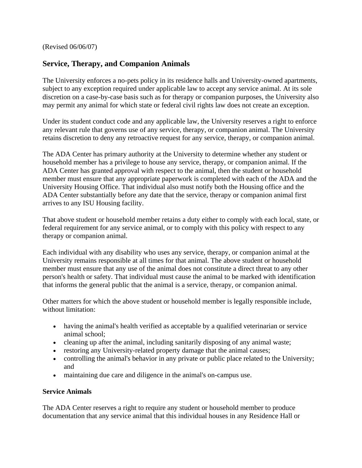(Revised 06/06/07)

### **Service, Therapy, and Companion Animals**

The University enforces a no-pets policy in its residence halls and University-owned apartments, subject to any exception required under applicable law to accept any service animal. At its sole discretion on a case-by-case basis such as for therapy or companion purposes, the University also may permit any animal for which state or federal civil rights law does not create an exception.

Under its student conduct code and any applicable law, the University reserves a right to enforce any relevant rule that governs use of any service, therapy, or companion animal. The University retains discretion to deny any retroactive request for any service, therapy, or companion animal.

The ADA Center has primary authority at the University to determine whether any student or household member has a privilege to house any service, therapy, or companion animal. If the ADA Center has granted approval with respect to the animal, then the student or household member must ensure that any appropriate paperwork is completed with each of the ADA and the University Housing Office. That individual also must notify both the Housing office and the ADA Center substantially before any date that the service, therapy or companion animal first arrives to any ISU Housing facility.

That above student or household member retains a duty either to comply with each local, state, or federal requirement for any service animal, or to comply with this policy with respect to any therapy or companion animal.

Each individual with any disability who uses any service, therapy, or companion animal at the University remains responsible at all times for that animal. The above student or household member must ensure that any use of the animal does not constitute a direct threat to any other person's health or safety. That individual must cause the animal to be marked with identification that informs the general public that the animal is a service, therapy, or companion animal.

Other matters for which the above student or household member is legally responsible include, without limitation:

- having the animal's health verified as acceptable by a qualified veterinarian or service animal school;
- cleaning up after the animal, including sanitarily disposing of any animal waste;
- restoring any University-related property damage that the animal causes;
- controlling the animal's behavior in any private or public place related to the University; and
- maintaining due care and diligence in the animal's on-campus use.

#### **Service Animals**

The ADA Center reserves a right to require any student or household member to produce documentation that any service animal that this individual houses in any Residence Hall or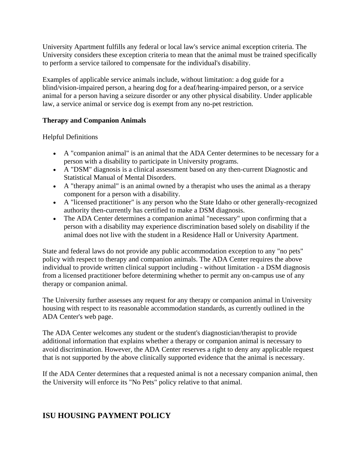University Apartment fulfills any federal or local law's service animal exception criteria. The University considers these exception criteria to mean that the animal must be trained specifically to perform a service tailored to compensate for the individual's disability.

Examples of applicable service animals include, without limitation: a dog guide for a blind/vision-impaired person, a hearing dog for a deaf/hearing-impaired person, or a service animal for a person having a seizure disorder or any other physical disability. Under applicable law, a service animal or service dog is exempt from any no-pet restriction.

#### **Therapy and Companion Animals**

Helpful Definitions

- A "companion animal" is an animal that the ADA Center determines to be necessary for a person with a disability to participate in University programs.
- A "DSM" diagnosis is a clinical assessment based on any then-current Diagnostic and Statistical Manual of Mental Disorders.
- A "therapy animal" is an animal owned by a therapist who uses the animal as a therapy component for a person with a disability.
- A "licensed practitioner" is any person who the State Idaho or other generally-recognized authority then-currently has certified to make a DSM diagnosis.
- The ADA Center determines a companion animal "necessary" upon confirming that a person with a disability may experience discrimination based solely on disability if the animal does not live with the student in a Residence Hall or University Apartment.

State and federal laws do not provide any public accommodation exception to any "no pets" policy with respect to therapy and companion animals. The ADA Center requires the above individual to provide written clinical support including - without limitation - a DSM diagnosis from a licensed practitioner before determining whether to permit any on-campus use of any therapy or companion animal.

The University further assesses any request for any therapy or companion animal in University housing with respect to its reasonable accommodation standards, as currently outlined in the ADA Center's web page.

The ADA Center welcomes any student or the student's diagnostician/therapist to provide additional information that explains whether a therapy or companion animal is necessary to avoid discrimination. However, the ADA Center reserves a right to deny any applicable request that is not supported by the above clinically supported evidence that the animal is necessary.

If the ADA Center determines that a requested animal is not a necessary companion animal, then the University will enforce its "No Pets" policy relative to that animal.

# **ISU HOUSING PAYMENT POLICY**